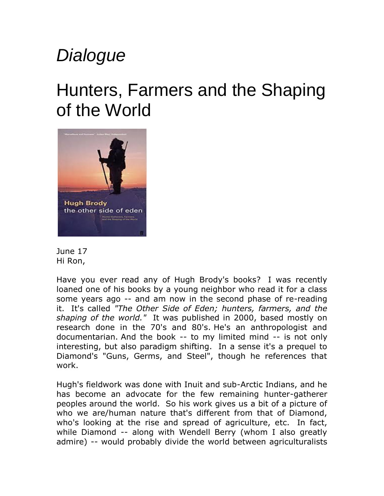## *Dialogue*

## Hunters, Farmers and the Shaping of the World





Have you ever read any of Hugh Brody's books? I was recently loaned one of his books by a young neighbor who read it for a class some years ago -- and am now in the second phase of re-reading it. It's called *"The Other Side of Eden; hunters, farmers, and the shaping of the world."* It was published in 2000, based mostly on research done in the 70's and 80's. He's an anthropologist and documentarian. And the book -- to my limited mind -- is not only interesting, but also paradigm shifting. In a sense it's a prequel to Diamond's "Guns, Germs, and Steel", though he references that work.

Hugh's fieldwork was done with Inuit and sub-Arctic Indians, and he has become an advocate for the few remaining hunter-gatherer peoples around the world. So his work gives us a bit of a picture of who we are/human nature that's different from that of Diamond, who's looking at the rise and spread of agriculture, etc. In fact, while Diamond -- along with Wendell Berry (whom I also greatly admire) -- would probably divide the world between agriculturalists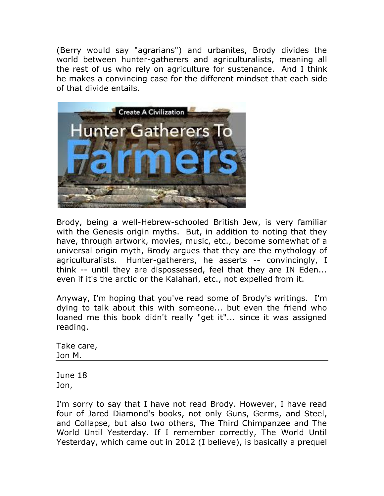(Berry would say "agrarians") and urbanites, Brody divides the world between hunter-gatherers and agriculturalists, meaning all the rest of us who rely on agriculture for sustenance. And I think he makes a convincing case for the different mindset that each side of that divide entails.



Brody, being a well-Hebrew-schooled British Jew, is very familiar with the Genesis origin myths. But, in addition to noting that they have, through artwork, movies, music, etc., become somewhat of a universal origin myth, Brody argues that they are the mythology of agriculturalists. Hunter-gatherers, he asserts -- convincingly, I think -- until they are dispossessed, feel that they are IN Eden... even if it's the arctic or the Kalahari, etc., not expelled from it.

Anyway, I'm hoping that you've read some of Brody's writings. I'm dying to talk about this with someone... but even the friend who loaned me this book didn't really "get it"... since it was assigned reading.

Take care, Jon M.

June 18 Jon,

I'm sorry to say that I have not read Brody. However, I have read four of Jared Diamond's books, not only Guns, Germs, and Steel, and Collapse, but also two others, The Third Chimpanzee and The World Until Yesterday. If I remember correctly, The World Until Yesterday, which came out in 2012 (I believe), is basically a prequel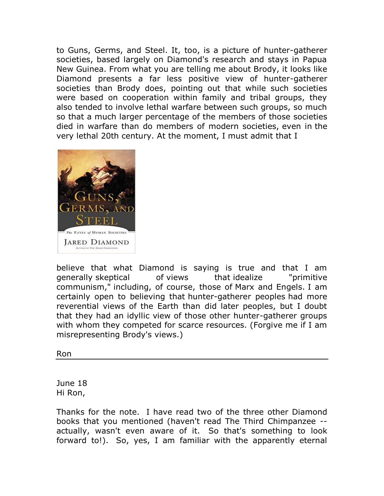to Guns, Germs, and Steel. It, too, is a picture of hunter-gatherer societies, based largely on Diamond's research and stays in Papua New Guinea. From what you are telling me about Brody, it looks like Diamond presents a far less positive view of hunter-gatherer societies than Brody does, pointing out that while such societies were based on cooperation within family and tribal groups, they also tended to involve lethal warfare between such groups, so much so that a much larger percentage of the members of those societies died in warfare than do members of modern societies, even in the very lethal 20th century. At the moment, I must admit that I



believe that what Diamond is saying is true and that I am generally skeptical of views that idealize "primitive communism," including, of course, those of Marx and Engels. I am certainly open to believing that hunter-gatherer peoples had more reverential views of the Earth than did later peoples, but I doubt that they had an idyllic view of those other hunter-gatherer groups with whom they competed for scarce resources. (Forgive me if I am misrepresenting Brody's views.)

Ron

June 18 Hi Ron,

Thanks for the note. I have read two of the three other Diamond books that you mentioned (haven't read The Third Chimpanzee - actually, wasn't even aware of it. So that's something to look forward to!). So, yes, I am familiar with the apparently eternal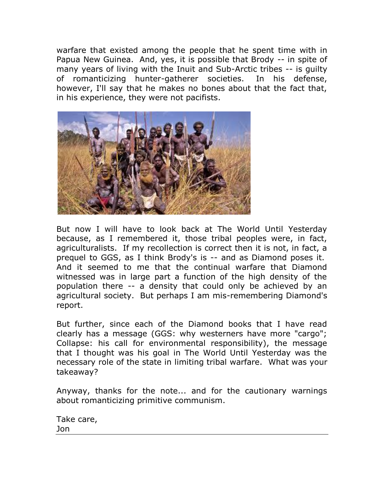warfare that existed among the people that he spent time with in Papua New Guinea. And, yes, it is possible that Brody -- in spite of many years of living with the Inuit and Sub-Arctic tribes -- is guilty of romanticizing hunter-gatherer societies. In his defense, however, I'll say that he makes no bones about that the fact that, in his experience, they were not pacifists.



But now I will have to look back at The World Until Yesterday because, as I remembered it, those tribal peoples were, in fact, agriculturalists. If my recollection is correct then it is not, in fact, a prequel to GGS, as I think Brody's is -- and as Diamond poses it. And it seemed to me that the continual warfare that Diamond witnessed was in large part a function of the high density of the population there -- a density that could only be achieved by an agricultural society. But perhaps I am mis-remembering Diamond's report.

But further, since each of the Diamond books that I have read clearly has a message (GGS: why westerners have more "cargo"; Collapse: his call for environmental responsibility), the message that I thought was his goal in The World Until Yesterday was the necessary role of the state in limiting tribal warfare. What was your takeaway?

Anyway, thanks for the note... and for the cautionary warnings about romanticizing primitive communism.

Take care, Jon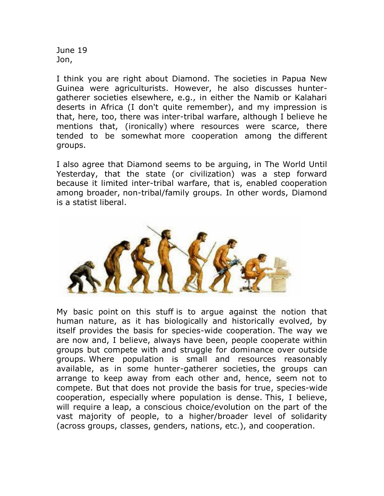June 19 Jon,

I think you are right about Diamond. The societies in Papua New Guinea were agriculturists. However, he also discusses huntergatherer societies elsewhere, e.g., in either the Namib or Kalahari deserts in Africa (I don't quite remember), and my impression is that, here, too, there was inter-tribal warfare, although I believe he mentions that, (ironically) where resources were scarce, there tended to be somewhat more cooperation among the different groups.

I also agree that Diamond seems to be arguing, in The World Until Yesterday, that the state (or civilization) was a step forward because it limited inter-tribal warfare, that is, enabled cooperation among broader, non-tribal/family groups. In other words, Diamond is a statist liberal.



My basic point on this stuff is to argue against the notion that human nature, as it has biologically and historically evolved, by itself provides the basis for species-wide cooperation. The way we are now and, I believe, always have been, people cooperate within groups but compete with and struggle for dominance over outside groups. Where population is small and resources reasonably available, as in some hunter-gatherer societies, the groups can arrange to keep away from each other and, hence, seem not to compete. But that does not provide the basis for true, species-wide cooperation, especially where population is dense. This, I believe, will require a leap, a conscious choice/evolution on the part of the vast majority of people, to a higher/broader level of solidarity (across groups, classes, genders, nations, etc.), and cooperation.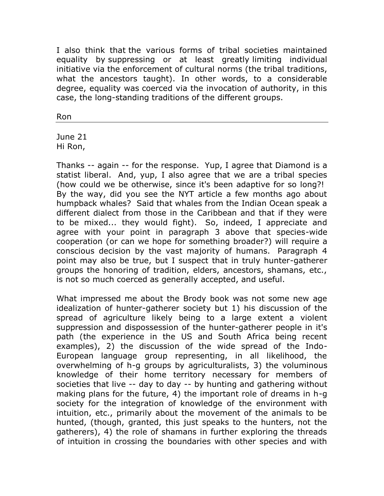I also think that the various forms of tribal societies maintained equality by suppressing or at least greatly limiting individual initiative via the enforcement of cultural norms (the tribal traditions, what the ancestors taught). In other words, to a considerable degree, equality was coerced via the invocation of authority, in this case, the long-standing traditions of the different groups.

Ron

June 21 Hi Ron,

Thanks -- again -- for the response. Yup, I agree that Diamond is a statist liberal. And, yup, I also agree that we are a tribal species (how could we be otherwise, since it's been adaptive for so long?! By the way, did you see the NYT article a few months ago about humpback whales? Said that whales from the Indian Ocean speak a different dialect from those in the Caribbean and that if they were to be mixed... they would fight). So, indeed, I appreciate and agree with your point in paragraph 3 above that species-wide cooperation (or can we hope for something broader?) will require a conscious decision by the vast majority of humans. Paragraph 4 point may also be true, but I suspect that in truly hunter-gatherer groups the honoring of tradition, elders, ancestors, shamans, etc., is not so much coerced as generally accepted, and useful.

What impressed me about the Brody book was not some new age idealization of hunter-gatherer society but 1) his discussion of the spread of agriculture likely being to a large extent a violent suppression and dispossession of the hunter-gatherer people in it's path (the experience in the US and South Africa being recent examples), 2) the discussion of the wide spread of the Indo-European language group representing, in all likelihood, the overwhelming of h-g groups by agriculturalists, 3) the voluminous knowledge of their home territory necessary for members of societies that live -- day to day -- by hunting and gathering without making plans for the future, 4) the important role of dreams in h-g society for the integration of knowledge of the environment with intuition, etc., primarily about the movement of the animals to be hunted, (though, granted, this just speaks to the hunters, not the gatherers), 4) the role of shamans in further exploring the threads of intuition in crossing the boundaries with other species and with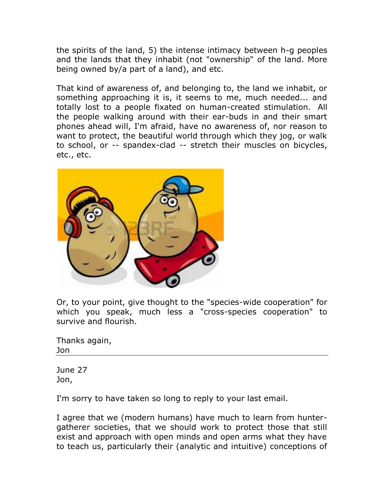the spirits of the land, 5) the intense intimacy between h-g peoples and the lands that they inhabit (not "ownership" of the land. More being owned by/a part of a land), and etc.

That kind of awareness of, and belonging to, the land we inhabit, or something approaching it is, it seems to me, much needed... and totally lost to a people fixated on human-created stimulation. All the people walking around with their ear-buds in and their smart phones ahead will, I'm afraid, have no awareness of, nor reason to want to protect, the beautiful world through which they jog, or walk to school, or -- spandex-clad -- stretch their muscles on bicycles, etc., etc.



Or, to your point, give thought to the "species-wide cooperation" for which you speak, much less a "cross-species cooperation" to survive and flourish.

Thanks again, Jon

June 27 Jon,

I'm sorry to have taken so long to reply to your last email.

I agree that we (modern humans) have much to learn from huntergatherer societies, that we should work to protect those that still exist and approach with open minds and open arms what they have to teach us, particularly their (analytic and intuitive) conceptions of